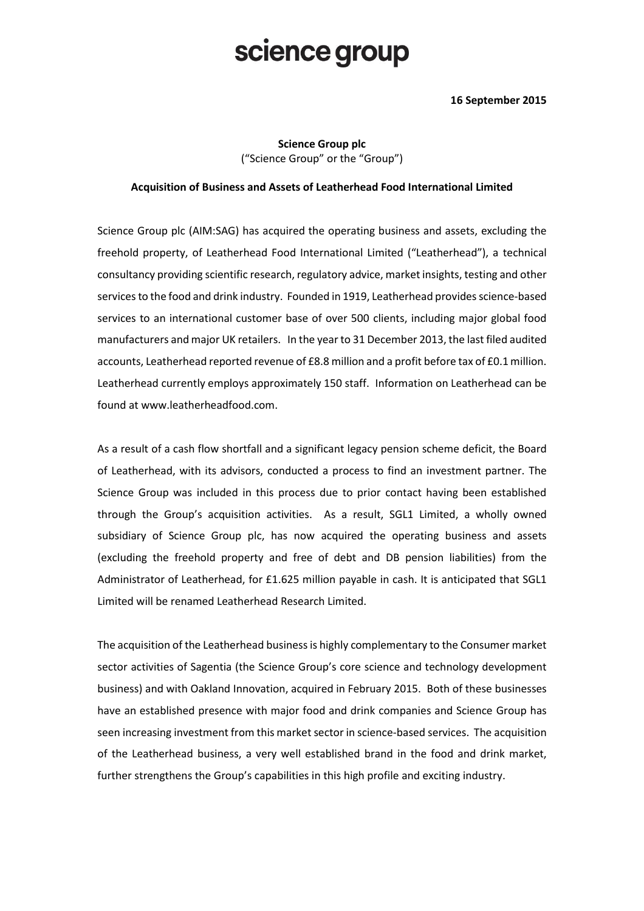## science group

## **16 September 2015**

**Science Group plc** ("Science Group" or the "Group")

## **Acquisition of Business and Assets of Leatherhead Food International Limited**

Science Group plc (AIM:SAG) has acquired the operating business and assets, excluding the freehold property, of Leatherhead Food International Limited ("Leatherhead"), a technical consultancy providing scientific research, regulatory advice, market insights, testing and other services to the food and drink industry. Founded in 1919, Leatherhead provides science-based services to an international customer base of over 500 clients, including major global food manufacturers and major UK retailers. In the year to 31 December 2013, the last filed audited accounts, Leatherhead reported revenue of £8.8 million and a profit before tax of £0.1 million. Leatherhead currently employs approximately 150 staff. Information on Leatherhead can be found at www.leatherheadfood.com.

As a result of a cash flow shortfall and a significant legacy pension scheme deficit, the Board of Leatherhead, with its advisors, conducted a process to find an investment partner. The Science Group was included in this process due to prior contact having been established through the Group's acquisition activities. As a result, SGL1 Limited, a wholly owned subsidiary of Science Group plc, has now acquired the operating business and assets (excluding the freehold property and free of debt and DB pension liabilities) from the Administrator of Leatherhead, for £1.625 million payable in cash. It is anticipated that SGL1 Limited will be renamed Leatherhead Research Limited.

The acquisition of the Leatherhead businessis highly complementary to the Consumer market sector activities of Sagentia (the Science Group's core science and technology development business) and with Oakland Innovation, acquired in February 2015. Both of these businesses have an established presence with major food and drink companies and Science Group has seen increasing investment from this market sector in science-based services. The acquisition of the Leatherhead business, a very well established brand in the food and drink market, further strengthens the Group's capabilities in this high profile and exciting industry.